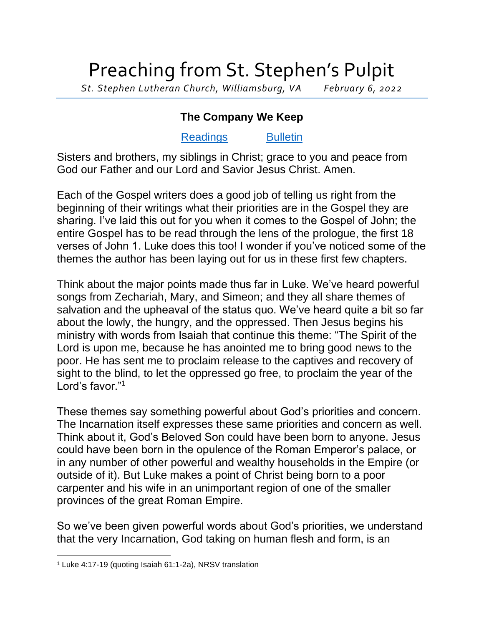## Preaching from St. Stephen's Pulpit

*St. Stephen Lutheran Church, Williamsburg, VA February 6, 2022*

## **The Company We Keep**

## [Readings](https://lectionary.library.vanderbilt.edu/texts.php?id=111) [Bulletin](http://www.saintstephenlutheran.net/sunday-bulletins/)

Sisters and brothers, my siblings in Christ; grace to you and peace from God our Father and our Lord and Savior Jesus Christ. Amen.

Each of the Gospel writers does a good job of telling us right from the beginning of their writings what their priorities are in the Gospel they are sharing. I've laid this out for you when it comes to the Gospel of John; the entire Gospel has to be read through the lens of the prologue, the first 18 verses of John 1. Luke does this too! I wonder if you've noticed some of the themes the author has been laying out for us in these first few chapters.

Think about the major points made thus far in Luke. We've heard powerful songs from Zechariah, Mary, and Simeon; and they all share themes of salvation and the upheaval of the status quo. We've heard quite a bit so far about the lowly, the hungry, and the oppressed. Then Jesus begins his ministry with words from Isaiah that continue this theme: "The Spirit of the Lord is upon me, because he has anointed me to bring good news to the poor. He has sent me to proclaim release to the captives and recovery of sight to the blind, to let the oppressed go free, to proclaim the year of the Lord's favor."<sup>1</sup>

These themes say something powerful about God's priorities and concern. The Incarnation itself expresses these same priorities and concern as well. Think about it, God's Beloved Son could have been born to anyone. Jesus could have been born in the opulence of the Roman Emperor's palace, or in any number of other powerful and wealthy households in the Empire (or outside of it). But Luke makes a point of Christ being born to a poor carpenter and his wife in an unimportant region of one of the smaller provinces of the great Roman Empire.

So we've been given powerful words about God's priorities, we understand that the very Incarnation, God taking on human flesh and form, is an

<sup>1</sup> Luke 4:17-19 (quoting Isaiah 61:1-2a), NRSV translation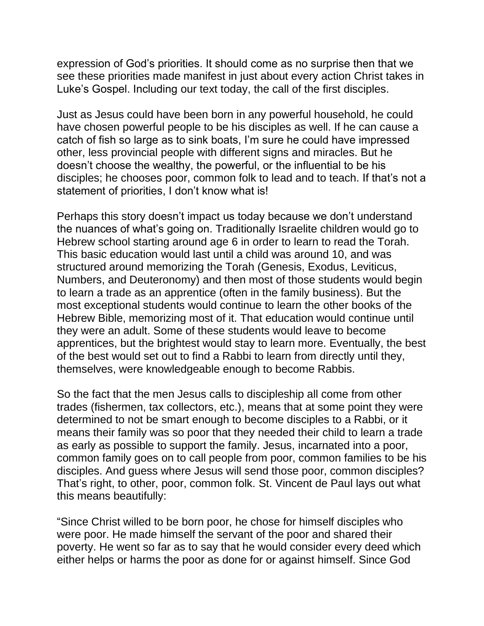expression of God's priorities. It should come as no surprise then that we see these priorities made manifest in just about every action Christ takes in Luke's Gospel. Including our text today, the call of the first disciples.

Just as Jesus could have been born in any powerful household, he could have chosen powerful people to be his disciples as well. If he can cause a catch of fish so large as to sink boats, I'm sure he could have impressed other, less provincial people with different signs and miracles. But he doesn't choose the wealthy, the powerful, or the influential to be his disciples; he chooses poor, common folk to lead and to teach. If that's not a statement of priorities, I don't know what is!

Perhaps this story doesn't impact us today because we don't understand the nuances of what's going on. Traditionally Israelite children would go to Hebrew school starting around age 6 in order to learn to read the Torah. This basic education would last until a child was around 10, and was structured around memorizing the Torah (Genesis, Exodus, Leviticus, Numbers, and Deuteronomy) and then most of those students would begin to learn a trade as an apprentice (often in the family business). But the most exceptional students would continue to learn the other books of the Hebrew Bible, memorizing most of it. That education would continue until they were an adult. Some of these students would leave to become apprentices, but the brightest would stay to learn more. Eventually, the best of the best would set out to find a Rabbi to learn from directly until they, themselves, were knowledgeable enough to become Rabbis.

So the fact that the men Jesus calls to discipleship all come from other trades (fishermen, tax collectors, etc.), means that at some point they were determined to not be smart enough to become disciples to a Rabbi, or it means their family was so poor that they needed their child to learn a trade as early as possible to support the family. Jesus, incarnated into a poor, common family goes on to call people from poor, common families to be his disciples. And guess where Jesus will send those poor, common disciples? That's right, to other, poor, common folk. St. Vincent de Paul lays out what this means beautifully:

"Since Christ willed to be born poor, he chose for himself disciples who were poor. He made himself the servant of the poor and shared their poverty. He went so far as to say that he would consider every deed which either helps or harms the poor as done for or against himself. Since God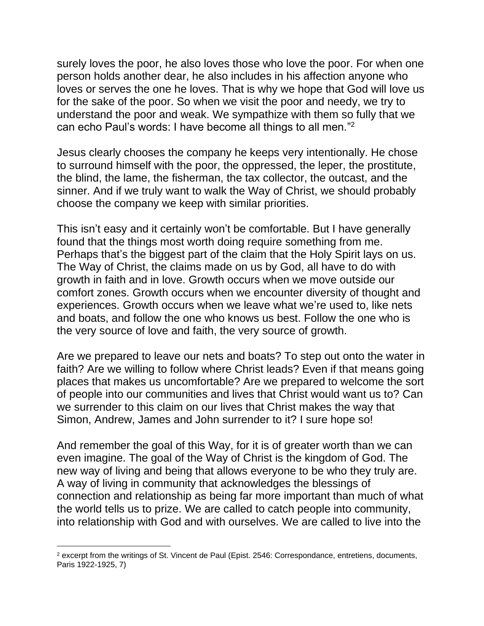surely loves the poor, he also loves those who love the poor. For when one person holds another dear, he also includes in his affection anyone who loves or serves the one he loves. That is why we hope that God will love us for the sake of the poor. So when we visit the poor and needy, we try to understand the poor and weak. We sympathize with them so fully that we can echo Paul's words: I have become all things to all men."<sup>2</sup>

Jesus clearly chooses the company he keeps very intentionally. He chose to surround himself with the poor, the oppressed, the leper, the prostitute, the blind, the lame, the fisherman, the tax collector, the outcast, and the sinner. And if we truly want to walk the Way of Christ, we should probably choose the company we keep with similar priorities.

This isn't easy and it certainly won't be comfortable. But I have generally found that the things most worth doing require something from me. Perhaps that's the biggest part of the claim that the Holy Spirit lays on us. The Way of Christ, the claims made on us by God, all have to do with growth in faith and in love. Growth occurs when we move outside our comfort zones. Growth occurs when we encounter diversity of thought and experiences. Growth occurs when we leave what we're used to, like nets and boats, and follow the one who knows us best. Follow the one who is the very source of love and faith, the very source of growth.

Are we prepared to leave our nets and boats? To step out onto the water in faith? Are we willing to follow where Christ leads? Even if that means going places that makes us uncomfortable? Are we prepared to welcome the sort of people into our communities and lives that Christ would want us to? Can we surrender to this claim on our lives that Christ makes the way that Simon, Andrew, James and John surrender to it? I sure hope so!

And remember the goal of this Way, for it is of greater worth than we can even imagine. The goal of the Way of Christ is the kingdom of God. The new way of living and being that allows everyone to be who they truly are. A way of living in community that acknowledges the blessings of connection and relationship as being far more important than much of what the world tells us to prize. We are called to catch people into community, into relationship with God and with ourselves. We are called to live into the

<sup>2</sup> excerpt from the writings of St. Vincent de Paul (Epist. 2546: Correspondance, entretiens, documents, Paris 1922-1925, 7)